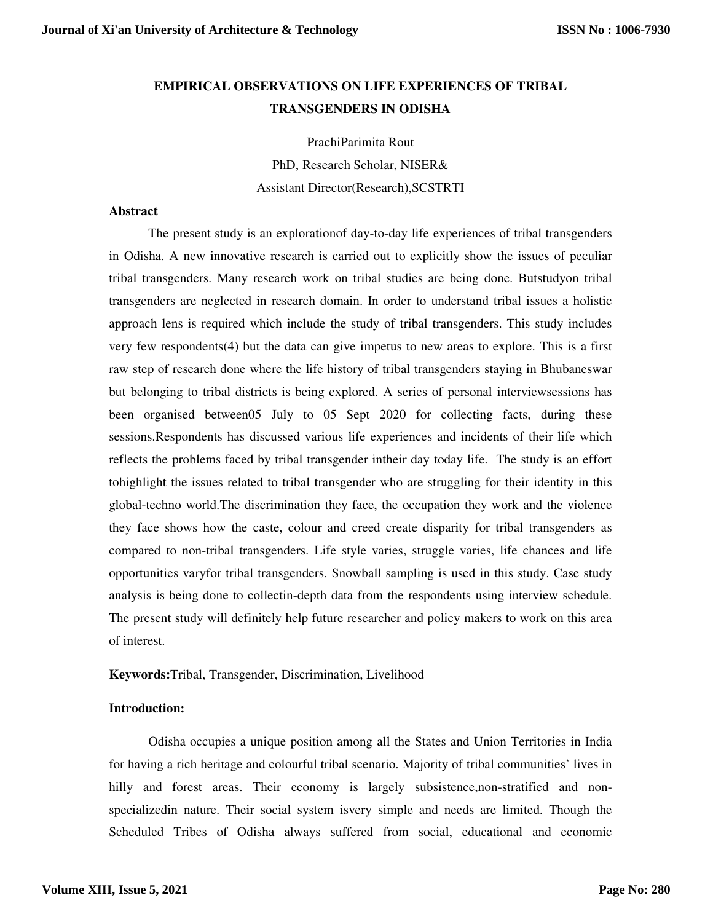# **EMPIRICAL OBSERVATIONS ON LIFE EXPERIENCES OF TRIBAL TRANSGENDERS IN ODISHA**

PrachiParimita Rout

PhD, Research Scholar, NISER& Assistant Director(Research),SCSTRTI

# **Abstract**

The present study is an explorationof day-to-day life experiences of tribal transgenders in Odisha. A new innovative research is carried out to explicitly show the issues of peculiar tribal transgenders. Many research work on tribal studies are being done. Butstudyon tribal transgenders are neglected in research domain. In order to understand tribal issues a holistic approach lens is required which include the study of tribal transgenders. This study includes very few respondents(4) but the data can give impetus to new areas to explore. This is a first raw step of research done where the life history of tribal transgenders staying in Bhubaneswar but belonging to tribal districts is being explored. A series of personal interviewsessions has been organised between05 July to 05 Sept 2020 for collecting facts, during these sessions.Respondents has discussed various life experiences and incidents of their life which reflects the problems faced by tribal transgender intheir day today life. The study is an effort tohighlight the issues related to tribal transgender who are struggling for their identity in this global-techno world.The discrimination they face, the occupation they work and the violence they face shows how the caste, colour and creed create disparity for tribal transgenders as compared to non-tribal transgenders. Life style varies, struggle varies, life chances and life opportunities varyfor tribal transgenders. Snowball sampling is used in this study. Case study analysis is being done to collectin-depth data from the respondents using interview schedule. The present study will definitely help future researcher and policy makers to work on this area of interest.

**Keywords:**Tribal, Transgender, Discrimination, Livelihood

# **Introduction:**

Odisha occupies a unique position among all the States and Union Territories in India for having a rich heritage and colourful tribal scenario. Majority of tribal communities' lives in hilly and forest areas. Their economy is largely subsistence,non-stratified and nonspecializedin nature. Their social system isvery simple and needs are limited. Though the Scheduled Tribes of Odisha always suffered from social, educational and economic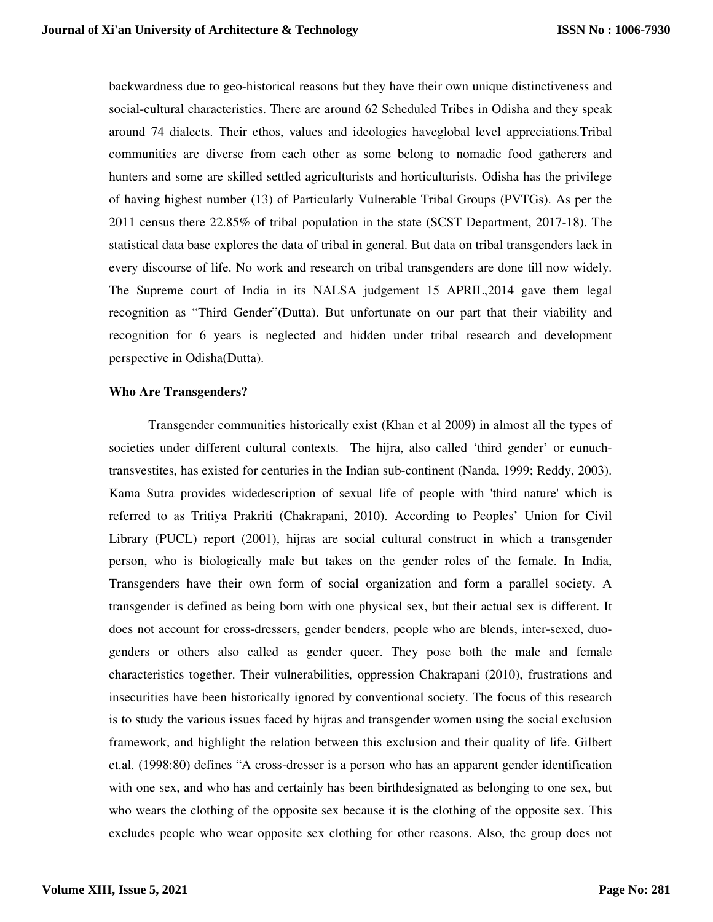backwardness due to geo-historical reasons but they have their own unique distinctiveness and social-cultural characteristics. There are around 62 Scheduled Tribes in Odisha and they speak around 74 dialects. Their ethos, values and ideologies haveglobal level appreciations.Tribal communities are diverse from each other as some belong to nomadic food gatherers and hunters and some are skilled settled agriculturists and horticulturists. Odisha has the privilege of having highest number (13) of Particularly Vulnerable Tribal Groups (PVTGs). As per the 2011 census there 22.85% of tribal population in the state (SCST Department, 2017-18). The statistical data base explores the data of tribal in general. But data on tribal transgenders lack in every discourse of life. No work and research on tribal transgenders are done till now widely. The Supreme court of India in its NALSA judgement 15 APRIL,2014 gave them legal recognition as "Third Gender"(Dutta). But unfortunate on our part that their viability and recognition for 6 years is neglected and hidden under tribal research and development perspective in Odisha(Dutta).

## **Who Are Transgenders?**

Transgender communities historically exist (Khan et al 2009) in almost all the types of societies under different cultural contexts. The hijra, also called 'third gender' or eunuchtransvestites, has existed for centuries in the Indian sub-continent (Nanda, 1999; Reddy, 2003). Kama Sutra provides widedescription of sexual life of people with 'third nature' which is referred to as Tritiya Prakriti (Chakrapani, 2010). According to Peoples' Union for Civil Library (PUCL) report (2001), hijras are social cultural construct in which a transgender person, who is biologically male but takes on the gender roles of the female. In India, Transgenders have their own form of social organization and form a parallel society. A transgender is defined as being born with one physical sex, but their actual sex is different. It does not account for cross-dressers, gender benders, people who are blends, inter-sexed, duogenders or others also called as gender queer. They pose both the male and female characteristics together. Their vulnerabilities, oppression Chakrapani (2010), frustrations and insecurities have been historically ignored by conventional society. The focus of this research is to study the various issues faced by hijras and transgender women using the social exclusion framework, and highlight the relation between this exclusion and their quality of life. Gilbert et.al. (1998:80) defines "A cross-dresser is a person who has an apparent gender identification with one sex, and who has and certainly has been birthdesignated as belonging to one sex, but who wears the clothing of the opposite sex because it is the clothing of the opposite sex. This excludes people who wear opposite sex clothing for other reasons. Also, the group does not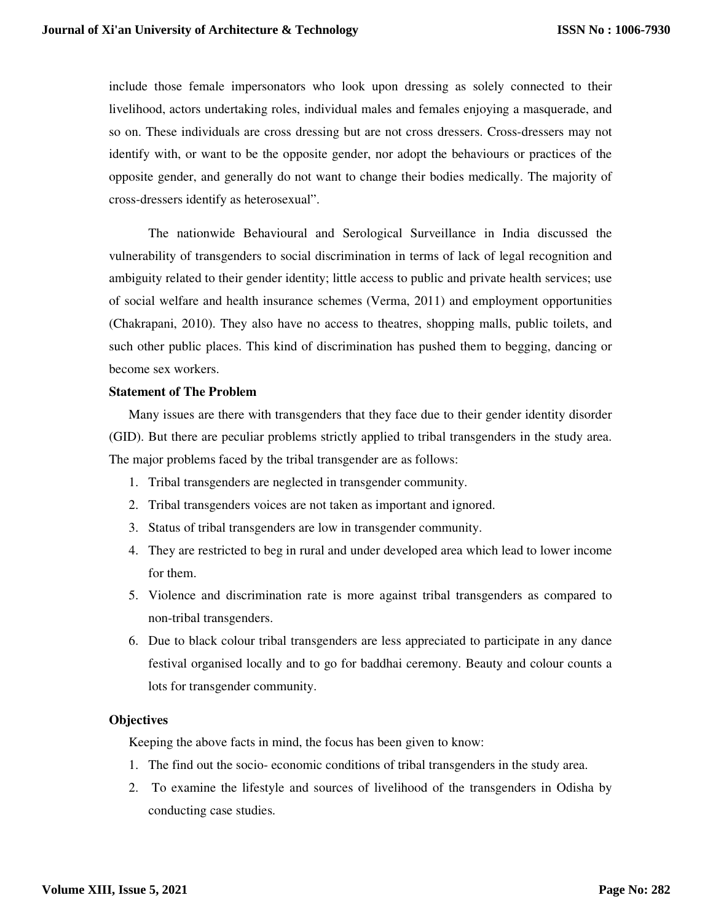include those female impersonators who look upon dressing as solely connected to their livelihood, actors undertaking roles, individual males and females enjoying a masquerade, and so on. These individuals are cross dressing but are not cross dressers. Cross-dressers may not identify with, or want to be the opposite gender, nor adopt the behaviours or practices of the opposite gender, and generally do not want to change their bodies medically. The majority of cross-dressers identify as heterosexual".

The nationwide Behavioural and Serological Surveillance in India discussed the vulnerability of transgenders to social discrimination in terms of lack of legal recognition and ambiguity related to their gender identity; little access to public and private health services; use of social welfare and health insurance schemes (Verma, 2011) and employment opportunities (Chakrapani, 2010). They also have no access to theatres, shopping malls, public toilets, and such other public places. This kind of discrimination has pushed them to begging, dancing or become sex workers.

# **Statement of The Problem**

Many issues are there with transgenders that they face due to their gender identity disorder (GID). But there are peculiar problems strictly applied to tribal transgenders in the study area. The major problems faced by the tribal transgender are as follows:

- 1. Tribal transgenders are neglected in transgender community.
- 2. Tribal transgenders voices are not taken as important and ignored.
- 3. Status of tribal transgenders are low in transgender community.
- 4. They are restricted to beg in rural and under developed area which lead to lower income for them.
- 5. Violence and discrimination rate is more against tribal transgenders as compared to non-tribal transgenders.
- 6. Due to black colour tribal transgenders are less appreciated to participate in any dance festival organised locally and to go for baddhai ceremony. Beauty and colour counts a lots for transgender community.

# **Objectives**

Keeping the above facts in mind, the focus has been given to know:

- 1. The find out the socio- economic conditions of tribal transgenders in the study area.
- 2. To examine the lifestyle and sources of livelihood of the transgenders in Odisha by conducting case studies.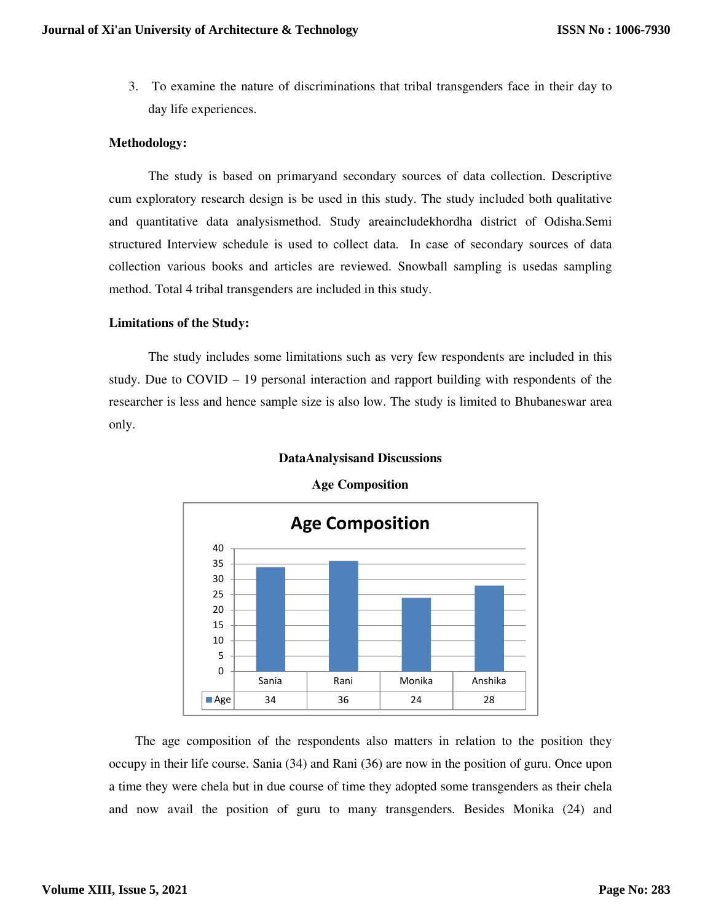3. To examine the nature of discriminations that tribal transgenders face in their day to day life experiences.

# **Methodology:**

The study is based on primaryand secondary sources of data collection. Descriptive cum exploratory research design is be used in this study. The study included both qualitative and quantitative data analysismethod. Study areaincludekhordha district of Odisha.Semi structured Interview schedule is used to collect data. In case of secondary sources of data collection various books and articles are reviewed. Snowball sampling is usedas sampling method. Total 4 tribal transgenders are included in this study.

# **Limitations of the Study:**

The study includes some limitations such as very few respondents are included in this study. Due to  $COVID - 19$  personal interaction and rapport building with respondents of the researcher is less and hence sample size is also low. The study is limited to Bhubaneswar area only.



**Age Composition**

**DataAnalysisand Discussions**

 The age composition of the respondents also matters in relation to the position they occupy in their life course. Sania (34) and Rani (36) are now in the position of guru. Once upon a time they were chela but in due course of time they adopted some transgenders as their chela and now avail the position of guru to many transgenders. Besides Monika (24) and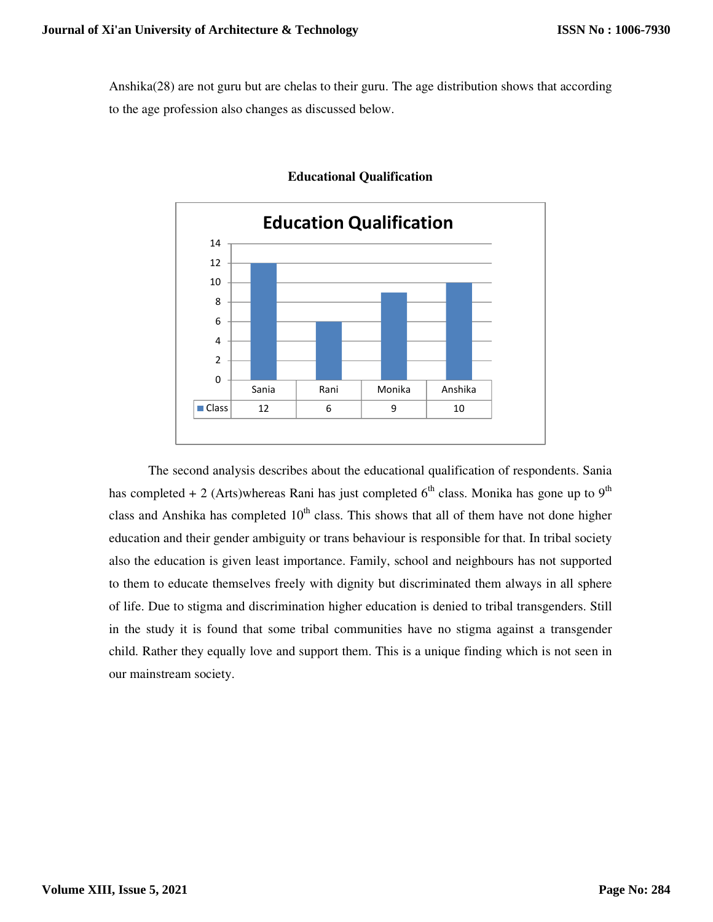Anshika(28) are not guru but are chelas to their guru. The age distribution shows that according to the age profession also changes as discussed below.



# **Educational Qualification**

The second analysis describes about the educational qualification of respondents. Sania has completed + 2 (Arts)whereas Rani has just completed  $6<sup>th</sup>$  class. Monika has gone up to  $9<sup>th</sup>$ class and Anshika has completed  $10<sup>th</sup>$  class. This shows that all of them have not done higher education and their gender ambiguity or trans behaviour is responsible for that. In tribal society also the education is given least importance. Family, school and neighbours has not supported to them to educate themselves freely with dignity but discriminated them always in all sphere of life. Due to stigma and discrimination higher education is denied to tribal transgenders. Still in the study it is found that some tribal communities have no stigma against a transgender child. Rather they equally love and support them. This is a unique finding which is not seen in our mainstream society.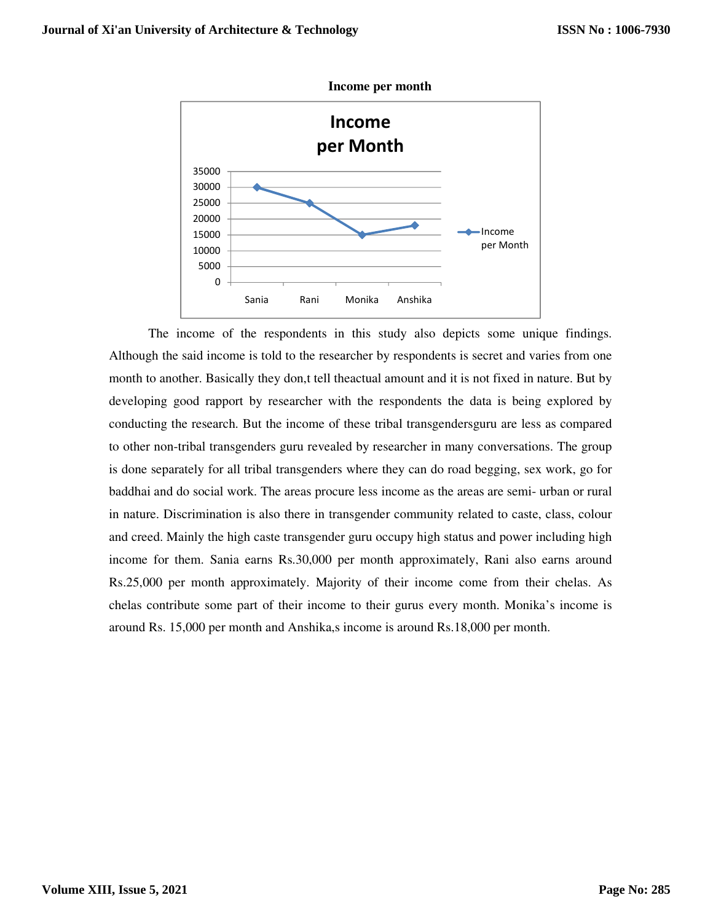

The income of the respondents in this study also depicts some unique findings. Although the said income is told to the researcher by respondents is secret and varies from one month to another. Basically they don,t tell theactual amount and it is not fixed in nature. But by developing good rapport by researcher with the respondents the data is being explored by conducting the research. But the income of these tribal transgendersguru are less as compared to other non-tribal transgenders guru revealed by researcher in many conversations. The group is done separately for all tribal transgenders where they can do road begging, sex work, go for baddhai and do social work. The areas procure less income as the areas are semi- urban or rural in nature. Discrimination is also there in transgender community related to caste, class, colour and creed. Mainly the high caste transgender guru occupy high status and power including high income for them. Sania earns Rs.30,000 per month approximately, Rani also earns around Rs.25,000 per month approximately. Majority of their income come from their chelas. As chelas contribute some part of their income to their gurus every month. Monika's income is around Rs. 15,000 per month and Anshika,s income is around Rs.18,000 per month.

## **Income per month**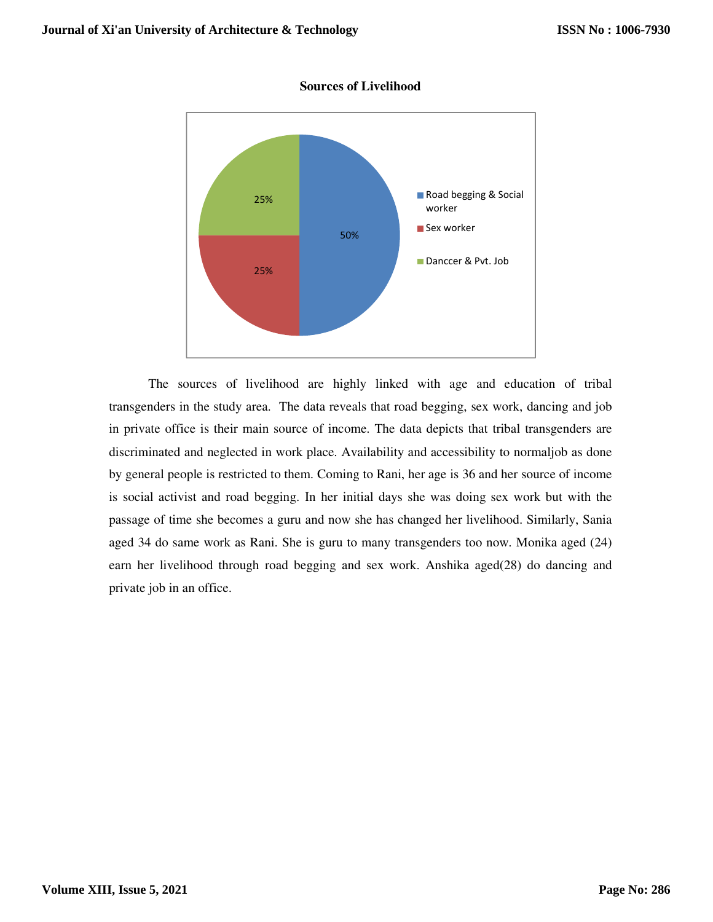

#### **Sources of Livelihood**

The sources of livelihood are highly linked with age and education of tribal transgenders in the study area. The data reveals that road begging, sex work, dancing and job in private office is their main source of income. The data depicts that tribal transgenders are discriminated and neglected in work place. Availability and accessibility to normaljob as done by general people is restricted to them. Coming to Rani, her age is 36 and her source of income is social activist and road begging. In her initial days she was doing sex work but with the passage of time she becomes a guru and now she has changed her livelihood. Similarly, Sania aged 34 do same work as Rani. She is guru to many transgenders too now. Monika aged (24) earn her livelihood through road begging and sex work. Anshika aged(28) do dancing and private job in an office.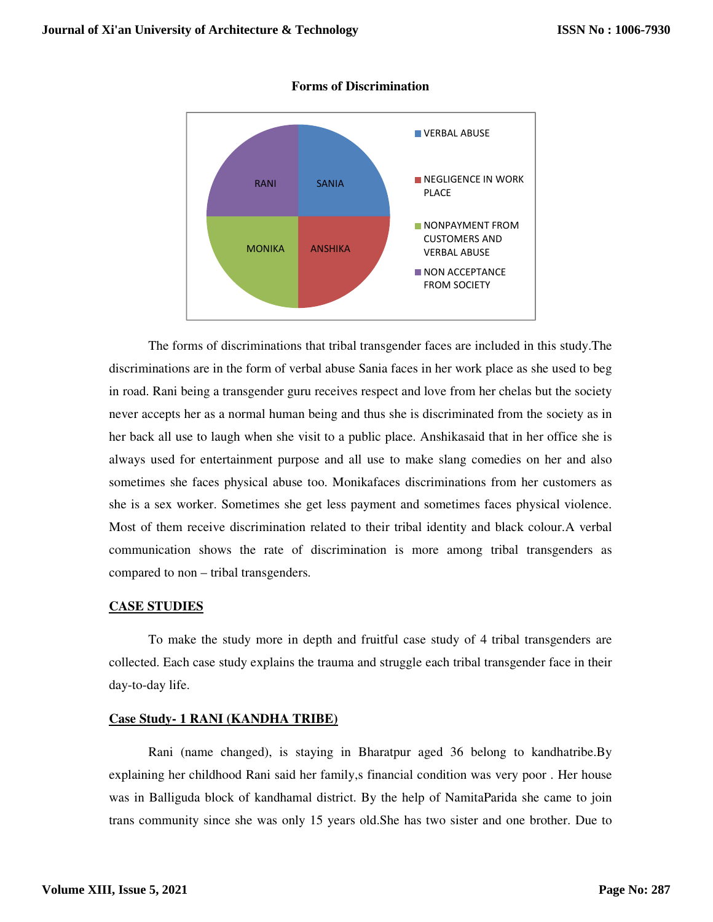

#### **Forms of Discrimination**

The forms of discriminations that tribal transgender faces are included in this study.The discriminations are in the form of verbal abuse Sania faces in her work place as she used to beg in road. Rani being a transgender guru receives respect and love from her chelas but the society never accepts her as a normal human being and thus she is discriminated from the society as in her back all use to laugh when she visit to a public place. Anshikasaid that in her office she is always used for entertainment purpose and all use to make slang comedies on her and also sometimes she faces physical abuse too. Monikafaces discriminations from her customers as she is a sex worker. Sometimes she get less payment and sometimes faces physical violence. Most of them receive discrimination related to their tribal identity and black colour.A verbal communication shows the rate of discrimination is more among tribal transgenders as compared to non – tribal transgenders.

# **CASE STUDIES**

To make the study more in depth and fruitful case study of 4 tribal transgenders are collected. Each case study explains the trauma and struggle each tribal transgender face in their day-to-day life.

## **Case Study- 1 RANI (KANDHA TRIBE)**

Rani (name changed), is staying in Bharatpur aged 36 belong to kandhatribe.By explaining her childhood Rani said her family,s financial condition was very poor . Her house was in Balliguda block of kandhamal district. By the help of NamitaParida she came to join trans community since she was only 15 years old.She has two sister and one brother. Due to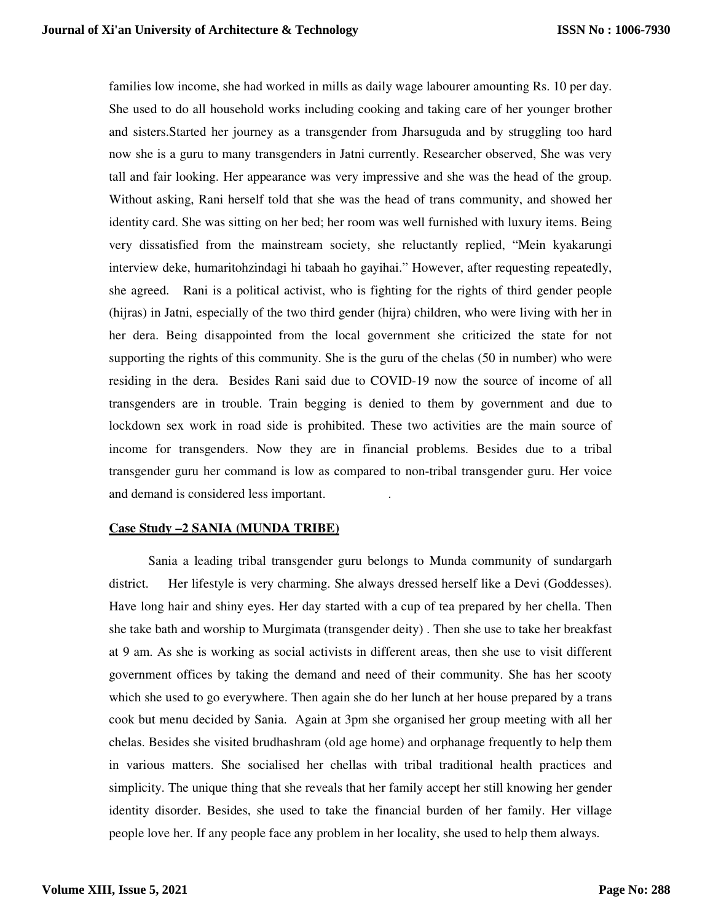families low income, she had worked in mills as daily wage labourer amounting Rs. 10 per day. She used to do all household works including cooking and taking care of her younger brother and sisters.Started her journey as a transgender from Jharsuguda and by struggling too hard now she is a guru to many transgenders in Jatni currently. Researcher observed, She was very tall and fair looking. Her appearance was very impressive and she was the head of the group. Without asking, Rani herself told that she was the head of trans community, and showed her identity card. She was sitting on her bed; her room was well furnished with luxury items. Being very dissatisfied from the mainstream society, she reluctantly replied, "Mein kyakarungi interview deke, humaritohzindagi hi tabaah ho gayihai." However, after requesting repeatedly, she agreed. Rani is a political activist, who is fighting for the rights of third gender people (hijras) in Jatni, especially of the two third gender (hijra) children, who were living with her in her dera. Being disappointed from the local government she criticized the state for not supporting the rights of this community. She is the guru of the chelas (50 in number) who were residing in the dera. Besides Rani said due to COVID-19 now the source of income of all transgenders are in trouble. Train begging is denied to them by government and due to lockdown sex work in road side is prohibited. These two activities are the main source of income for transgenders. Now they are in financial problems. Besides due to a tribal transgender guru her command is low as compared to non-tribal transgender guru. Her voice and demand is considered less important. .

## **Case Study –2 SANIA (MUNDA TRIBE)**

Sania a leading tribal transgender guru belongs to Munda community of sundargarh district. Her lifestyle is very charming. She always dressed herself like a Devi (Goddesses). Have long hair and shiny eyes. Her day started with a cup of tea prepared by her chella. Then she take bath and worship to Murgimata (transgender deity) . Then she use to take her breakfast at 9 am. As she is working as social activists in different areas, then she use to visit different government offices by taking the demand and need of their community. She has her scooty which she used to go everywhere. Then again she do her lunch at her house prepared by a trans cook but menu decided by Sania. Again at 3pm she organised her group meeting with all her chelas. Besides she visited brudhashram (old age home) and orphanage frequently to help them in various matters. She socialised her chellas with tribal traditional health practices and simplicity. The unique thing that she reveals that her family accept her still knowing her gender identity disorder. Besides, she used to take the financial burden of her family. Her village people love her. If any people face any problem in her locality, she used to help them always.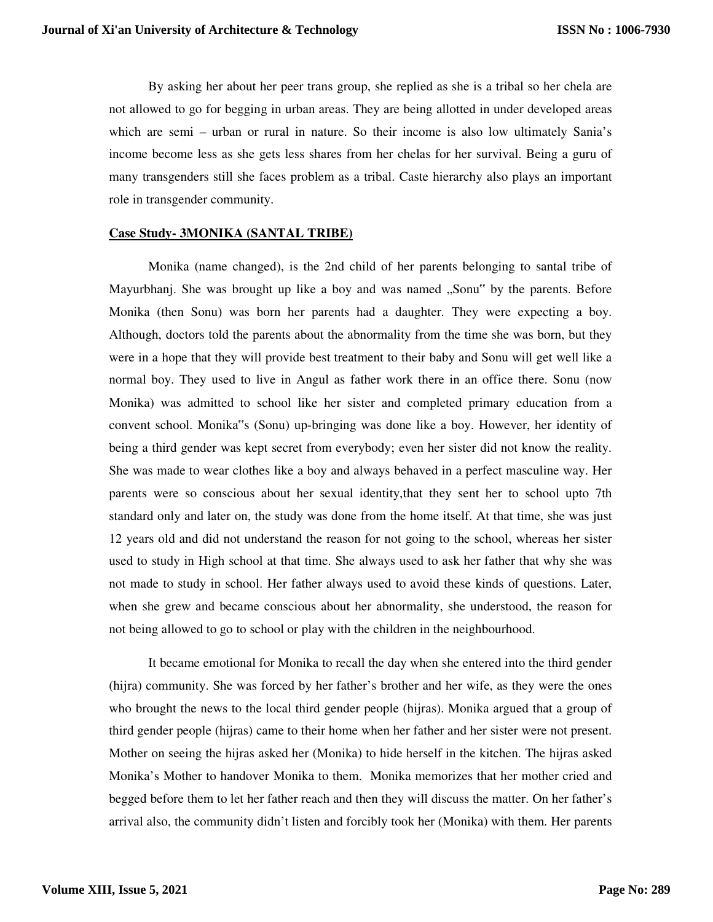By asking her about her peer trans group, she replied as she is a tribal so her chela are not allowed to go for begging in urban areas. They are being allotted in under developed areas which are semi – urban or rural in nature. So their income is also low ultimately Sania's income become less as she gets less shares from her chelas for her survival. Being a guru of many transgenders still she faces problem as a tribal. Caste hierarchy also plays an important role in transgender community.

# **Case Study- 3MONIKA (SANTAL TRIBE)**

Monika (name changed), is the 2nd child of her parents belonging to santal tribe of Mayurbhanj. She was brought up like a boy and was named "Sonu" by the parents. Before Monika (then Sonu) was born her parents had a daughter. They were expecting a boy. Although, doctors told the parents about the abnormality from the time she was born, but they were in a hope that they will provide best treatment to their baby and Sonu will get well like a normal boy. They used to live in Angul as father work there in an office there. Sonu (now Monika) was admitted to school like her sister and completed primary education from a convent school. Monika"s (Sonu) up-bringing was done like a boy. However, her identity of being a third gender was kept secret from everybody; even her sister did not know the reality. She was made to wear clothes like a boy and always behaved in a perfect masculine way. Her parents were so conscious about her sexual identity,that they sent her to school upto 7th standard only and later on, the study was done from the home itself. At that time, she was just 12 years old and did not understand the reason for not going to the school, whereas her sister used to study in High school at that time. She always used to ask her father that why she was not made to study in school. Her father always used to avoid these kinds of questions. Later, when she grew and became conscious about her abnormality, she understood, the reason for not being allowed to go to school or play with the children in the neighbourhood.

It became emotional for Monika to recall the day when she entered into the third gender (hijra) community. She was forced by her father's brother and her wife, as they were the ones who brought the news to the local third gender people (hijras). Monika argued that a group of third gender people (hijras) came to their home when her father and her sister were not present. Mother on seeing the hijras asked her (Monika) to hide herself in the kitchen. The hijras asked Monika's Mother to handover Monika to them. Monika memorizes that her mother cried and begged before them to let her father reach and then they will discuss the matter. On her father's arrival also, the community didn't listen and forcibly took her (Monika) with them. Her parents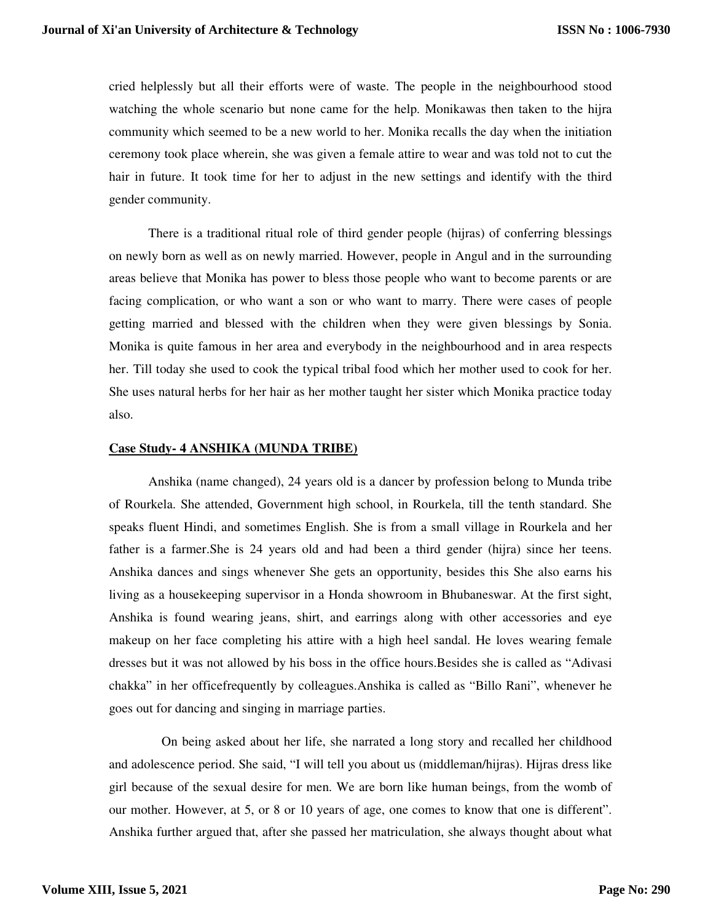cried helplessly but all their efforts were of waste. The people in the neighbourhood stood watching the whole scenario but none came for the help. Monikawas then taken to the hijra community which seemed to be a new world to her. Monika recalls the day when the initiation ceremony took place wherein, she was given a female attire to wear and was told not to cut the hair in future. It took time for her to adjust in the new settings and identify with the third gender community.

There is a traditional ritual role of third gender people (hijras) of conferring blessings on newly born as well as on newly married. However, people in Angul and in the surrounding areas believe that Monika has power to bless those people who want to become parents or are facing complication, or who want a son or who want to marry. There were cases of people getting married and blessed with the children when they were given blessings by Sonia. Monika is quite famous in her area and everybody in the neighbourhood and in area respects her. Till today she used to cook the typical tribal food which her mother used to cook for her. She uses natural herbs for her hair as her mother taught her sister which Monika practice today also.

# **Case Study- 4 ANSHIKA (MUNDA TRIBE)**

Anshika (name changed), 24 years old is a dancer by profession belong to Munda tribe of Rourkela. She attended, Government high school, in Rourkela, till the tenth standard. She speaks fluent Hindi, and sometimes English. She is from a small village in Rourkela and her father is a farmer.She is 24 years old and had been a third gender (hijra) since her teens. Anshika dances and sings whenever She gets an opportunity, besides this She also earns his living as a housekeeping supervisor in a Honda showroom in Bhubaneswar. At the first sight, Anshika is found wearing jeans, shirt, and earrings along with other accessories and eye makeup on her face completing his attire with a high heel sandal. He loves wearing female dresses but it was not allowed by his boss in the office hours.Besides she is called as "Adivasi chakka" in her officefrequently by colleagues.Anshika is called as "Billo Rani", whenever he goes out for dancing and singing in marriage parties.

 On being asked about her life, she narrated a long story and recalled her childhood and adolescence period. She said, "I will tell you about us (middleman/hijras). Hijras dress like girl because of the sexual desire for men. We are born like human beings, from the womb of our mother. However, at 5, or 8 or 10 years of age, one comes to know that one is different". Anshika further argued that, after she passed her matriculation, she always thought about what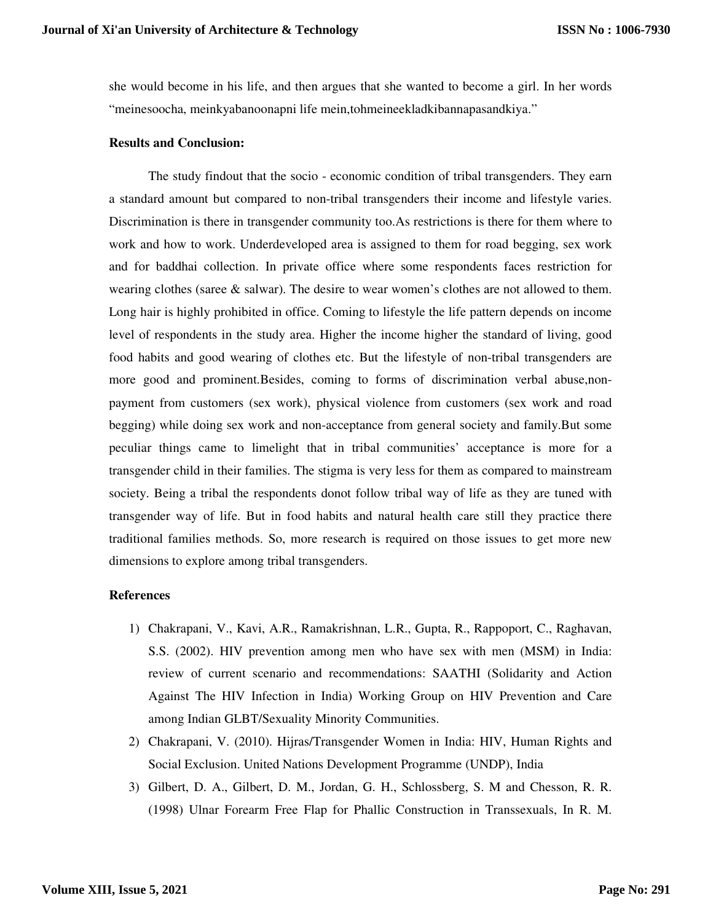she would become in his life, and then argues that she wanted to become a girl. In her words "meinesoocha, meinkyabanoonapni life mein,tohmeineekladkibannapasandkiya."

## **Results and Conclusion:**

The study findout that the socio - economic condition of tribal transgenders. They earn a standard amount but compared to non-tribal transgenders their income and lifestyle varies. Discrimination is there in transgender community too.As restrictions is there for them where to work and how to work. Underdeveloped area is assigned to them for road begging, sex work and for baddhai collection. In private office where some respondents faces restriction for wearing clothes (saree  $\&$  salwar). The desire to wear women's clothes are not allowed to them. Long hair is highly prohibited in office. Coming to lifestyle the life pattern depends on income level of respondents in the study area. Higher the income higher the standard of living, good food habits and good wearing of clothes etc. But the lifestyle of non-tribal transgenders are more good and prominent.Besides, coming to forms of discrimination verbal abuse,nonpayment from customers (sex work), physical violence from customers (sex work and road begging) while doing sex work and non-acceptance from general society and family.But some peculiar things came to limelight that in tribal communities' acceptance is more for a transgender child in their families. The stigma is very less for them as compared to mainstream society. Being a tribal the respondents donot follow tribal way of life as they are tuned with transgender way of life. But in food habits and natural health care still they practice there traditional families methods. So, more research is required on those issues to get more new dimensions to explore among tribal transgenders.

# **References**

- 1) Chakrapani, V., Kavi, A.R., Ramakrishnan, L.R., Gupta, R., Rappoport, C., Raghavan, S.S. (2002). HIV prevention among men who have sex with men (MSM) in India: review of current scenario and recommendations: SAATHI (Solidarity and Action Against The HIV Infection in India) Working Group on HIV Prevention and Care among Indian GLBT/Sexuality Minority Communities.
- 2) Chakrapani, V. (2010). Hijras/Transgender Women in India: HIV, Human Rights and Social Exclusion. United Nations Development Programme (UNDP), India
- 3) Gilbert, D. A., Gilbert, D. M., Jordan, G. H., Schlossberg, S. M and Chesson, R. R. (1998) Ulnar Forearm Free Flap for Phallic Construction in Transsexuals, In R. M.